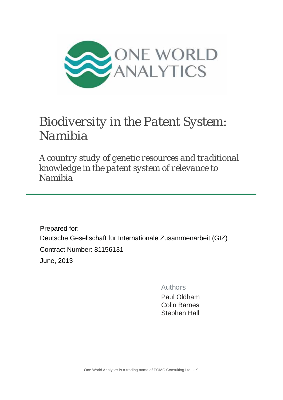

# *Biodiversity in the Patent System: Namibia*

*A country study of genetic resources and traditional knowledge in the patent system of relevance to Namibia*

Prepared for: Deutsche Gesellschaft für Internationale Zusammenarbeit (GIZ) Contract Number: 81156131 June, 2013

Authors

Paul Oldham Colin Barnes Stephen Hall

One World Analytics is a trading name of POMC Consulting Ltd. UK.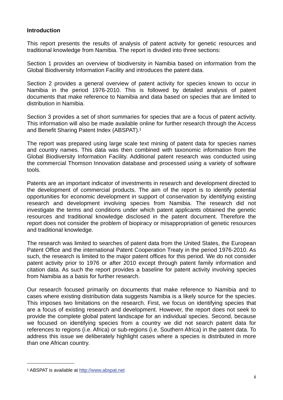#### **Introduction**

This report presents the results of analysis of patent activity for genetic resources and traditional knowledge from Namibia. The report is divided into three sections:

Section 1 provides an overview of biodiversity in Namibia based on information from the Global Biodiversity Information Facility and introduces the patent data.

Section 2 provides a general overview of patent activity for species known to occur in Namibia in the period 1976-2010. This is followed by detailed analysis of patent documents that make reference to Namibia and data based on species that are limited to distribution in Namibia.

Section 3 provides a set of short summaries for species that are a focus of patent activity. This information will also be made available online for further research through the Access and Benefit Sharing Patent Index (ABSPAT).1

The report was prepared using large scale text mining of patent data for species names and country names. This data was then combined with taxonomic information from the Global Biodiversity Information Facility. Additional patent research was conducted using the commercial Thomson Innovation database and processed using a variety of software tools.

Patents are an important indicator of investments in research and development directed to the development of commercial products. The aim of the report is to identify potential opportunities for economic development in support of conservation by identifying existing research and development involving species from Namibia. The research did not investigate the terms and conditions under which patent applicants obtained the genetic resources and traditional knowledge disclosed in the patent document. Therefore the report does not consider the problem of biopiracy or misappropriation of genetic resources and traditional knowledge.

The research was limited to searches of patent data from the United States, the European Patent Office and the international Patent Cooperation Treaty in the period 1976-2010. As such, the research is limited to the major patent offices for this period. We do not consider patent activity prior to 1976 or after 2010 except through patent family information and citation data. As such the report provides a baseline for patent activity involving species from Namibia as a basis for further research.

Our research focused primarily on documents that make reference to Namibia and to cases where existing distribution data suggests Namibia is a likely source for the species. This imposes two limitations on the research. First, we focus on identifying species that are a focus of existing research and development. However, the report does not seek to provide the complete global patent landscape for an individual species. Second, because we focused on identifying species from a country we did not search patent data for references to regions (i.e. Africa) or sub-regions (i.e. Southern Africa) in the patent data. To address this issue we deliberately highlight cases where a species is distributed in more than one African country.

<sup>1</sup> ABSPAT is available at http://www.abspat.net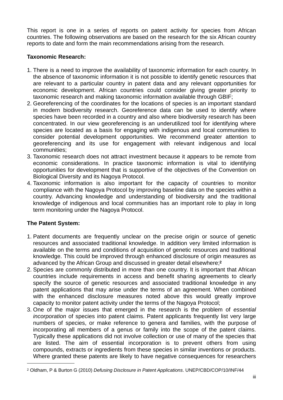This report is one in a series of reports on patent activity for species from African countries. The following observations are based on the research for the six African country reports to date and form the main recommendations arising from the research.

## **Taxonomic Research:**

- 1. There is a need to improve the availability of taxonomic information for each country. In the absence of taxonomic information it is not possible to identify genetic resources that are relevant to a particular country in patent data and any relevant opportunities for economic development. African countries could consider giving greater priority to taxonomic research and making taxonomic information available through GBIF;
- 2. Georeferencing of the coordinates for the locations of species is an important standard in modern biodiversity research. Georeference data can be used to identify where species have been recorded in a country and also where biodiversity research has been concentrated. In our view georeferencing is an underutilized tool for identifying where species are located as a basis for engaging with indigenous and local communities to consider potential development opportunities. We recommend greater attention to georeferencing and its use for engagement with relevant indigenous and local communities;
- 3. Taxonomic research does not attract investment because it appears to be remote from economic considerations. In practice taxonomic information is vital to identifying opportunities for development that is supportive of the objectives of the Convention on Biological Diversity and its Nagoya Protocol.
- 4. Taxonomic information is also important for the capacity of countries to monitor compliance with the Nagoya Protocol by improving baseline data on the species within a country. Advancing knowledge and understanding of biodiversity and the traditional knowledge of indigenous and local communities has an important role to play in long term monitoring under the Nagoya Protocol.

# **The Patent System:**

- 1. Patent documents are frequently unclear on the precise origin or source of genetic resources and associated traditional knowledge. In addition very limited information is available on the terms and conditions of acquisition of genetic resources and traditional knowledge. This could be improved through enhanced disclosure of origin measures as advanced by the African Group and discussed in greater detail elsewhere;**<sup>2</sup>**
- 2. Species are commonly distributed in more than one country. It is important that African countries include requirements in access and benefit sharing agreements to clearly specify the source of genetic resources and associated traditional knowledge in any patent applications that may arise under the terms of an agreement. When combined with the enhanced disclosure measures noted above this would greatly improve capacity to monitor patent activity under the terms of the Nagoya Protocol;
- 3. One of the major issues that emerged in the research is the problem of *essential incorporation* of species into patent claims. Patent applicants frequently list very large numbers of species, or make reference to genera and families, with the purpose of incorporating all members of a genus or family into the scope of the patent claims. Typically these applications did not involve collection or use of many of the species that are listed. The aim of essential incorporation is to prevent others from using compounds, extracts or ingredients from these species in similar inventions or products. Where granted these patents are likely to have negative consequences for researchers

<sup>2</sup> Oldham, P & Burton G (2010) *Defusing Disclosure in Patent Applications*. UNEP/CBD/COP/10/INF/44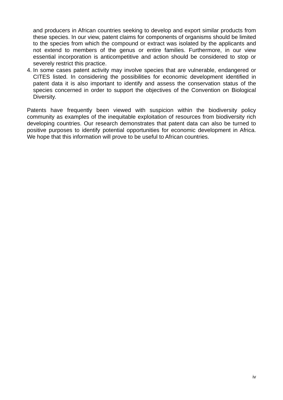and producers in African countries seeking to develop and export similar products from these species. In our view, patent claims for components of organisms should be limited to the species from which the compound or extract was isolated by the applicants and not extend to members of the genus or entire families. Furthermore, in our view essential incorporation is anticompetitive and action should be considered to stop or severely restrict this practice.

4. In some cases patent activity may involve species that are vulnerable, endangered or CITES listed. In considering the possibilities for economic development identified in patent data it is also important to identify and assess the conservation status of the species concerned in order to support the objectives of the Convention on Biological Diversity.

Patents have frequently been viewed with suspicion within the biodiversity policy community as examples of the inequitable exploitation of resources from biodiversity rich developing countries. Our research demonstrates that patent data can also be turned to positive purposes to identify potential opportunities for economic development in Africa. We hope that this information will prove to be useful to African countries.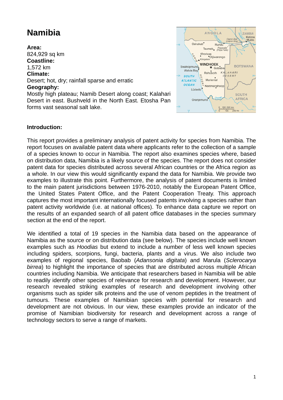# **Namibia**

#### **Area:**

824,929 sq km **Coastline:** 

## 1,572 km

**Climate:** 

Desert; hot, dry; rainfall sparse and erratic

#### **Geography:**

Mostly high plateau; Namib Desert along coast; Kalahari Desert in east. Bushveld in the North East. Etosha Pan forms vast seasonal salt lake.



#### **Introduction:**

This report provides a preliminary analysis of patent activity for species from Namibia. The report focuses on available patent data where applicants refer to the collection of a sample of a species known to occur in Namibia. The report also examines species where, based on distribution data, Namibia is a likely source of the species. The report does not consider patent data for species distributed across several African countries or the Africa region as a whole. In our view this would significantly expand the data for Namibia. We provide two examples to illustrate this point. Furthermore, the analysis of patent documents is limited to the main patent jurisdictions between 1976-2010, notably the European Patent Office, the United States Patent Office, and the Patent Cooperation Treaty. This approach captures the most important internationally focused patents involving a species rather than patent activity worldwide (i.e. at national offices). To enhance data capture we report on the results of an expanded search of all patent office databases in the species summary section at the end of the report.

We identified a total of 19 species in the Namibia data based on the appearance of Namibia as the source or on distribution data (see below). The species include well known examples such as *Hoodias* but extend to include a number of less well known species including spiders, scorpions, fungi, bacteria, plants and a virus. We also include two examples of regional species, Baobab (*Adansonia digitata*) and Marula (*Sclerocarya birrea*) to highlight the importance of species that are distributed across multiple African countries including Namibia. We anticipate that researchers based in Namibia will be able to readily identify other species of relevance for research and development. However, our research revealed striking examples of research and development involving other organisms such as spider silk proteins and the use of venom peptides in the treatment of tumours. These examples of Namibian species with potential for research and development are not obvious. In our view, these examples provide an indicator of the promise of Namibian biodiversity for research and development across a range of technology sectors to serve a range of markets.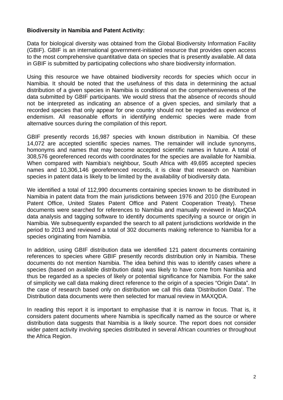#### **Biodiversity in Namibia and Patent Activity:**

Data for biological diversity was obtained from the Global Biodiversity Information Facility (GBIF). GBIF is an international government-initiated resource that provides open access to the most comprehensive quantitative data on species that is presently available. All data in GBIF is submitted by participating collections who share biodiversity information.

Using this resource we have obtained biodiversity records for species which occur in Namibia. It should be noted that the usefulness of this data in determining the actual distribution of a given species in Namibia is conditional on the comprehensiveness of the data submitted by GBIF participants. We would stress that the absence of records should not be interpreted as indicating an absence of a given species, and similarly that a recorded species that only appear for one country should not be regarded as evidence of endemism. All reasonable efforts in identifying endemic species were made from alternative sources during the compilation of this report.

GBIF presently records 16,987 species with known distribution in Namibia. Of these 14,072 are accepted scientific species names. The remainder will include synonyms, homonyms and names that may become accepted scientific names in future. A total of 308,576 georeferenced records with coordinates for the species are available for Namibia. When compared with Namibia's neighbour, South Africa with 49,695 accepted species names and 10,306,146 georeferenced records, it is clear that research on Namibian species in patent data is likely to be limited by the availability of biodiversity data.

We identified a total of 112,990 documents containing species known to be distributed in Namibia in patent data from the main jurisdictions between 1976 and 2010 (the European Patent Office, United States Patent Office and Patent Cooperation Treaty). These documents were searched for references to Namibia and manually reviewed in MaxQDA data analysis and tagging software to identify documents specifying a source or origin in Namibia. We subsequently expanded the search to all patent jurisdictions worldwide in the period to 2013 and reviewed a total of 302 documents making reference to Namibia for a species originating from Namibia.

In addition, using GBIF distribution data we identified 121 patent documents containing references to species where GBIF presently records distribution only in Namibia. These documents do not mention Namibia. The idea behind this was to identify cases where a species (based on available distribution data) was likely to have come from Namibia and thus be regarded as a species of likely or potential significance for Namibia. For the sake of simplicity we call data making direct reference to the origin of a species "Origin Data". In the case of research based only on distribution we call this data 'Distribution Data'. The Distribution data documents were then selected for manual review in MAXQDA.

In reading this report it is important to emphasise that it is narrow in focus. That is, it considers patent documents where Namibia is specifically named as the source or where distribution data suggests that Namibia is a likely source. The report does not consider wider patent activity involving species distributed in several African countries or throughout the Africa Region.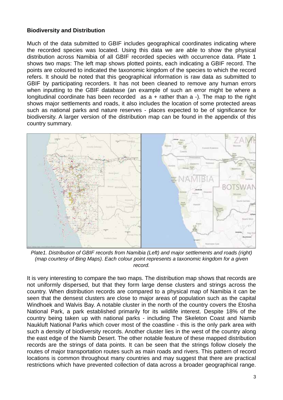#### **Biodiversity and Distribution**

Much of the data submitted to GBIF includes geographical coordinates indicating where the recorded species was located. Using this data we are able to show the physical distribution across Namibia of all GBIF recorded species with occurrence data. Plate 1 shows two maps: The left map shows plotted points, each indicating a GBIF record. The points are coloured to indicated the taxonomic kingdom of the species to which the record refers. It should be noted that this geographical information is raw data as submitted to GBIF by participating recorders. It has not been cleaned to remove any human errors when inputting to the GBIF database (an example of such an error might be where a longitudinal coordinate has been recorded as  $a +$  rather than  $a -$ ). The map to the right shows major settlements and roads, it also includes the location of some protected areas such as national parks and nature reserves - places expected to be of significance for biodiversity. A larger version of the distribution map can be found in the appendix of this country summary.



*Plate1. Distribution of GBIF records from Namibia (Left) and major settlements and roads (right) (map courtesy of Bing Maps). Each colour point represents a taxonomic kingdom for a given record.*

It is very interesting to compare the two maps. The distribution map shows that records are not uniformly dispersed, but that they form large dense clusters and strings across the country. When distribution records are compared to a physical map of Namibia it can be seen that the densest clusters are close to major areas of population such as the capital Windhoek and Walvis Bay. A notable cluster in the north of the country covers the Etosha National Park, a park established primarily for its wildlife interest. Despite 18% of the country being taken up with national parks - including The Skeleton Coast and Namib Naukluft National Parks which cover most of the coastline - this is the only park area with such a density of biodiversity records. Another cluster lies in the west of the country along the east edge of the Namib Desert. The other notable feature of these mapped distribution records are the strings of data points. It can be seen that the strings follow closely the routes of major transportation routes such as main roads and rivers. This pattern of record locations is common throughout many countries and may suggest that there are practical restrictions which have prevented collection of data across a broader geographical range.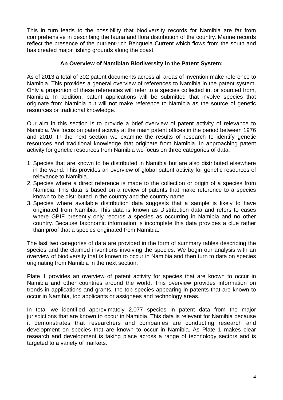This in turn leads to the possibility that biodiversity records for Namibia are far from comprehensive in describing the fauna and flora distribution of the country. Marine records reflect the presence of the nutrient-rich Benguela Current which flows from the south and has created major fishing grounds along the coast.

#### **An Overview of Namibian Biodiversity in the Patent System:**

As of 2013 a total of 302 patent documents across all areas of invention make reference to Namibia. This provides a general overview of references to Namibia in the patent system. Only a proportion of these references will refer to a species collected in, or sourced from, Namibia. In addition, patent applications will be submitted that involve species that originate from Namibia but will not make reference to Namibia as the source of genetic resources or traditional knowledge.

Our aim in this section is to provide a brief overview of patent activity of relevance to Namibia. We focus on patent activity at the main patent offices in the period between 1976 and 2010. In the next section we examine the results of research to identify genetic resources and traditional knowledge that originate from Namibia. In approaching patent activity for genetic resources from Namibia we focus on three categories of data.

- 1. Species that are known to be distributed in Namibia but are also distributed elsewhere in the world. This provides an overview of global patent activity for genetic resources of relevance to Namibia.
- 2. Species where a direct reference is made to the collection or origin of a species from Namibia. This data is based on a review of patents that make reference to a species known to be distributed in the country and the country name.
- 3. Species where available distribution data suggests that a sample is likely to have originated from Namibia. This data is known as Distribution data and refers to cases where GBIF presently only records a species as occurring in Namibia and no other country. Because taxonomic information is incomplete this data provides a clue rather than proof that a species originated from Namibia.

The last two categories of data are provided in the form of summary tables describing the species and the claimed inventions involving the species. We begin our analysis with an overview of biodiversity that is known to occur in Namibia and then turn to data on species originating from Namibia in the next section.

Plate 1 provides an overview of patent activity for species that are known to occur in Namibia and other countries around the world. This overview provides information on trends in applications and grants, the top species appearing in patents that are known to occur in Namibia, top applicants or assignees and technology areas.

In total we identified approximately 2,077 species in patent data from the major jurisdictions that are known to occur in Namibia. This data is relevant for Namibia because it demonstrates that researchers and companies are conducting research and development on species that are known to occur in Namibia. As Plate 1 makes clear research and development is taking place across a range of technology sectors and is targeted to a variety of markets.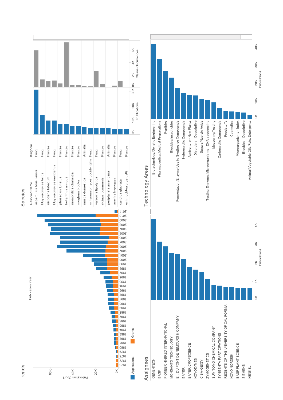

Species



# Assignees

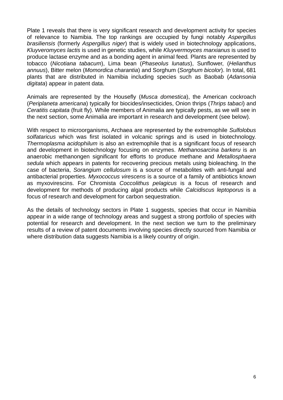Plate 1 reveals that there is very significant research and development activity for species of relevance to Namibia. The top rankings are occupied by fungi notably *Aspergillus brasiliensis* (formerly *Aspergillus niger*) that is widely used in biotechnology applications, *Kluyveromyces lactis* is used in genetic studies, while *Kluyvermoyces marxianus* is used to produce lactase enzyme and as a bonding agent in animal feed*.* Plants are represented by tobacco (*Nicotiana tabacum*), Lima bean (*Phaseolus lunatus*), Sunflower, (*Helianthus annuus*), Bitter melon (*Momordica charantia*) and Sorghum (*Sorghum bicolor*). In total, 681 plants that are distributed in Namibia including species such as Baobab (*Adansonia digitata*) appear in patent data.

Animals are represented by the Housefly (*Musca domestica*), the American cockroach (*Periplaneta americana*) typically for biocides/insecticides, Onion thrips (*Thrips tabaci*) and *Ceratitis capitata* (fruit fly). While members of Animalia are typically pests, as we will see in the next section, some Animalia are important in research and development (see below).

With respect to microorganisms, Archaea are represented by the extremophile *Sulfolobus solfataricus* which was first isolated in volcanic springs and is used in biotechnology. *Thermoplasma acidophilum* is also an extremophile that is a significant focus of research and development in biotechnology focusing on enzymes. *Methanosarcina barkeru* is an anaerobic methanongen significant for efforts to produce methane and *Metallosphaera sedula* which appears in patents for recovering precious metals using bioleaching. In the case of bacteria, *Sorangium cellulosum* is a source of metabolites with anti-fungal and antibacterial properties. *Myxococcus virescens* is a source of a family of antibiotics known as myxovirescins. For Chromista *Coccolithus pelagicus* is a focus of research and development for methods of producing algal products while *Calcidiscus leptoporus* is a focus of research and development for carbon sequestration.

As the details of technology sectors in Plate 1 suggests, species that occur in Namibia appear in a wide range of technology areas and suggest a strong portfolio of species with potential for research and development. In the next section we turn to the preliminary results of a review of patent documents involving species directly sourced from Namibia or where distribution data suggests Namibia is a likely country of origin.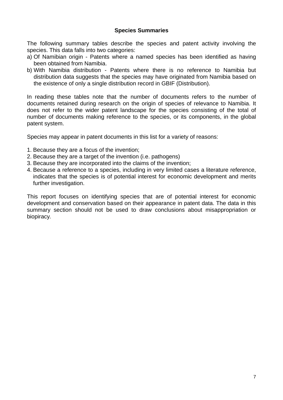#### **Species Summaries**

The following summary tables describe the species and patent activity involving the species. This data falls into two categories:

- a) Of Namibian origin Patents where a named species has been identified as having been obtained from Namibia.
- b) With Namibia distribution Patents where there is no reference to Namibia but distribution data suggests that the species may have originated from Namibia based on the existence of only a single distribution record in GBIF (Distribution).

In reading these tables note that the number of documents refers to the number of documents retained during research on the origin of species of relevance to Namibia. It does not refer to the wider patent landscape for the species consisting of the total of number of documents making reference to the species, or its components, in the global patent system.

Species may appear in patent documents in this list for a variety of reasons:

- 1. Because they are a focus of the invention;
- 2. Because they are a target of the invention (i.e. pathogens)
- 3. Because they are incorporated into the claims of the invention;
- 4. Because a reference to a species, including in very limited cases a literature reference, indicates that the species is of potential interest for economic development and merits further investigation.

This report focuses on identifying species that are of potential interest for economic development and conservation based on their appearance in patent data. The data in this summary section should not be used to draw conclusions about misappropriation or biopiracy.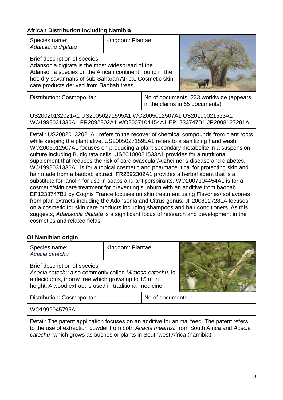# **African Distribution Including Namibia**

| Species name:<br>Adansonia digitata                                                                                                                                                                                                                                                                                                                                                                                                                                                                                                                                                                                                                                                                                                                                                                                                                                                                                                                                                                                                                                                                                                                                                           | Kingdom: Plantae                                                                                                                      |  |                                                                           |  |  |
|-----------------------------------------------------------------------------------------------------------------------------------------------------------------------------------------------------------------------------------------------------------------------------------------------------------------------------------------------------------------------------------------------------------------------------------------------------------------------------------------------------------------------------------------------------------------------------------------------------------------------------------------------------------------------------------------------------------------------------------------------------------------------------------------------------------------------------------------------------------------------------------------------------------------------------------------------------------------------------------------------------------------------------------------------------------------------------------------------------------------------------------------------------------------------------------------------|---------------------------------------------------------------------------------------------------------------------------------------|--|---------------------------------------------------------------------------|--|--|
| Brief description of species:<br>Adansonia digitata is the most widespread of the<br>Adansonia species on the African continent, found in the<br>hot, dry savannahs of sub-Saharan Africa. Cosmetic skin<br>care products derived from Baobab trees.                                                                                                                                                                                                                                                                                                                                                                                                                                                                                                                                                                                                                                                                                                                                                                                                                                                                                                                                          |                                                                                                                                       |  |                                                                           |  |  |
| Distribution: Cosmopolitan                                                                                                                                                                                                                                                                                                                                                                                                                                                                                                                                                                                                                                                                                                                                                                                                                                                                                                                                                                                                                                                                                                                                                                    |                                                                                                                                       |  | No of documents: 233 worldwide (appears<br>in the claims in 65 documents) |  |  |
|                                                                                                                                                                                                                                                                                                                                                                                                                                                                                                                                                                                                                                                                                                                                                                                                                                                                                                                                                                                                                                                                                                                                                                                               | US20020132021A1 US20050271595A1 WO2005012507A1 US20100021533A1<br>WO1998031336A1 FR2892302A1 WO2007104454A1 EP1233747B1 JP2008127281A |  |                                                                           |  |  |
| Detail: US20020132021A1 refers to the recover of chemical compounds from plant roots<br>while keeping the plant alive. US20050271595A1 refers to a sanitizing hand wash.<br>WO2005012507A1 focuses on producing a plant secondary metabolite in a suspension<br>culture including B. digitata cells. US20100021533A1 provides for a nutritional<br>supplement that reduces the risk of cardiovascular/Alzheimer's disease and diabetes.<br>WO1998031336A1 is for a topical cosmetic and pharmaceutical for protecting skin and<br>hair made from a baobab extract. FR2892302A1 provides a herbal agent that is a<br>substitute for lanolin for use in soaps and antiperspirants. WO2007104454A1 is for a<br>cosmetic/skin care treatment for preventing sunburn with an additive from baobab.<br>EP1233747B1 by Cognis France focuses on skin treatment using Flavones/Isoflavones<br>from plan extracts including the Adansonia and Citrus genus. JP2008127281A focuses<br>on a cosmetic for skin care products including shampoos and hair conditioners. As this<br>suggests, Adansonia digitata is a significant focus of research and development in the<br>cosmetics and related fields. |                                                                                                                                       |  |                                                                           |  |  |

# **Of Namibian origin**

| Species name:<br>Acacia catechu                                                                                                                                                                          | Kingdom: Plantae |  |  |  |
|----------------------------------------------------------------------------------------------------------------------------------------------------------------------------------------------------------|------------------|--|--|--|
| Brief description of species:<br>Acacia catechu also commonly called Mimosa catechu, is<br>a deciduous, thorny tree which grows up to 15 m in<br>height. A wood extract is used in traditional medicine. |                  |  |  |  |
| No of documents: 1<br>Distribution: Cosmopolitan                                                                                                                                                         |                  |  |  |  |
| WO1999045795A1                                                                                                                                                                                           |                  |  |  |  |

Detail: The patent application focuses on an additive for animal feed. The patent refers to the use of extraction powder from both *Acacia mearnsii* from South Africa and *Acacia catechu* "which grows as bus hes or plants in Southwest Afri ca (namibia)".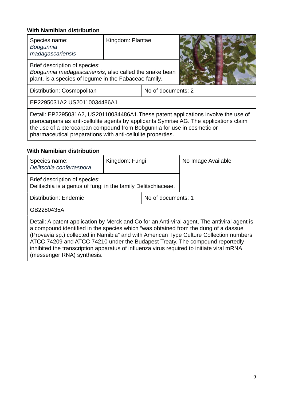| Species name:<br>Bobgunnia<br>madagascariensis                                                                                                                                                                                                                                                                         | Kingdom: Plantae   |  |  |  |
|------------------------------------------------------------------------------------------------------------------------------------------------------------------------------------------------------------------------------------------------------------------------------------------------------------------------|--------------------|--|--|--|
| Brief description of species:<br>Bobgunnia madagascariensis, also called the snake bean<br>plant, is a species of legume in the Fabaceae family.                                                                                                                                                                       |                    |  |  |  |
| Distribution: Cosmopolitan                                                                                                                                                                                                                                                                                             | No of documents: 2 |  |  |  |
| EP2295031A2 US20110034486A1                                                                                                                                                                                                                                                                                            |                    |  |  |  |
| Detail: EP2295031A2, US20110034486A1. These patent applications involve the use of<br>pterocarpans as anti-cellulite agents by applicants Symrise AG. The applications claim<br>the use of a pterocarpan compound from Bobgunnia for use in cosmetic or<br>pharmaceutical preparations with anti-cellulite properties. |                    |  |  |  |

| Species name:<br>Delitschia confertaspora                                                                                                                                                                                                                                                                                                                                                                                                                                              | Kingdom: Fungi                                               |  | No Image Available |  |
|----------------------------------------------------------------------------------------------------------------------------------------------------------------------------------------------------------------------------------------------------------------------------------------------------------------------------------------------------------------------------------------------------------------------------------------------------------------------------------------|--------------------------------------------------------------|--|--------------------|--|
| Brief description of species:                                                                                                                                                                                                                                                                                                                                                                                                                                                          | Delitschia is a genus of fungi in the family Delitschiaceae. |  |                    |  |
| <b>Distribution: Endemic</b>                                                                                                                                                                                                                                                                                                                                                                                                                                                           | No of documents: 1                                           |  |                    |  |
| GB2280435A                                                                                                                                                                                                                                                                                                                                                                                                                                                                             |                                                              |  |                    |  |
| Detail: A patent application by Merck and Co for an Anti-viral agent, The antiviral agent is<br>a compound identified in the species which "was obtained from the dung of a dassue<br>(Provavia sp.) collected in Namibia" and with American Type Culture Collection numbers<br>ATCC 74209 and ATCC 74210 under the Budapest Treaty. The compound reportedly<br>inhibited the transcription apparatus of influenza virus required to initiate viral mRNA<br>(messenger RNA) synthesis. |                                                              |  |                    |  |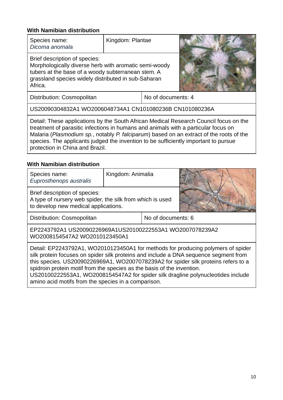| Species name:<br>Dicoma anomala                                                                                                                                                                                | Kingdom: Plantae |  |  |  |
|----------------------------------------------------------------------------------------------------------------------------------------------------------------------------------------------------------------|------------------|--|--|--|
| Brief description of species:<br>Morphologically diverse herb with aromatic semi-woody<br>tubers at the base of a woody subterranean stem. A<br>grassland species widely distributed in sub-Saharan<br>Africa. |                  |  |  |  |
| No of documents: 4<br>Distribution: Cosmopolitan                                                                                                                                                               |                  |  |  |  |
| US20090304832A1 WO2006048734A1 CN101080236B CN101080236A                                                                                                                                                       |                  |  |  |  |
| Detail: These applications by the South African Medical Research Council focus on the                                                                                                                          |                  |  |  |  |

treatment of parasitic infections in humans and animals with a particular focus on Malaria (Plasmodium sp., notably P. falciparum) based on an extract of the roots of the species. The applicants judged the invention to be sufficiently important to pursue protection in China and Brazi l.

| Species name:<br>Euprosthenops australis                                                                                                                                                                                                                                                                                                                                                                                                                                            | Kingdom: Animalia  |  |  |  |  |
|-------------------------------------------------------------------------------------------------------------------------------------------------------------------------------------------------------------------------------------------------------------------------------------------------------------------------------------------------------------------------------------------------------------------------------------------------------------------------------------|--------------------|--|--|--|--|
| Brief description of species:<br>A type of nursery web spider, the silk from which is used<br>to develop new medical applications.                                                                                                                                                                                                                                                                                                                                                  |                    |  |  |  |  |
| Distribution: Cosmopolitan                                                                                                                                                                                                                                                                                                                                                                                                                                                          | No of documents: 6 |  |  |  |  |
| EP2243792A1 US20090226969A1US20100222553A1 WO2007078239A2<br>WO2008154547A2 WO2010123450A1                                                                                                                                                                                                                                                                                                                                                                                          |                    |  |  |  |  |
| Detail: EP2243792A1, WO2010123450A1 for methods for producing polymers of spider<br>silk protein focuses on spider silk proteins and include a DNA sequence segment from<br>this species. US20090226969A1, WO2007078239A2 for spider silk proteins refers to a<br>spidroin protein motif from the species as the basis of the invention.<br>US20100222553A1, WO2008154547A2 for spider silk dragline polynucleotides include<br>amino acid motifs from the species in a comparison. |                    |  |  |  |  |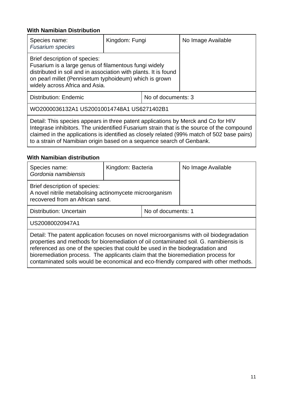| Species name:<br><b>Fusarium species</b>                                                                                                                                                                                                                                                                                                              | Kingdom: Fungi |  | No Image Available |
|-------------------------------------------------------------------------------------------------------------------------------------------------------------------------------------------------------------------------------------------------------------------------------------------------------------------------------------------------------|----------------|--|--------------------|
| Brief description of species:<br>Fusarium is a large genus of filamentous fungi widely<br>distributed in soil and in association with plants. It is found<br>on pearl millet (Pennisetum typhoideum) which is grown<br>widely across Africa and Asia.                                                                                                 |                |  |                    |
| <b>Distribution: Endemic</b><br>No of documents: 3                                                                                                                                                                                                                                                                                                    |                |  |                    |
| WO2000036132A1 US20010014748A1 US6271402B1                                                                                                                                                                                                                                                                                                            |                |  |                    |
| Detail: This species appears in three patent applications by Merck and Co for HIV<br>Integrase inhibitors. The unidentified Fusarium strain that is the source of the compound<br>claimed in the applications is identified as closely related (99% match of 502 base pairs)<br>to a strain of Namibian origin based on a sequence search of Genbank. |                |  |                    |

| Species name:<br>Gordonia namibiensis                                                                                                                                                                                                                                                                                                                                                                                                        | Kingdom: Bacteria  |  | No Image Available |  |
|----------------------------------------------------------------------------------------------------------------------------------------------------------------------------------------------------------------------------------------------------------------------------------------------------------------------------------------------------------------------------------------------------------------------------------------------|--------------------|--|--------------------|--|
| Brief description of species:<br>A novel nitrile metabolising actinomycete microorganism<br>recovered from an African sand.                                                                                                                                                                                                                                                                                                                  |                    |  |                    |  |
| <b>Distribution: Uncertain</b>                                                                                                                                                                                                                                                                                                                                                                                                               | No of documents: 1 |  |                    |  |
| US20080020947A1                                                                                                                                                                                                                                                                                                                                                                                                                              |                    |  |                    |  |
| Detail: The patent application focuses on novel microorganisms with oil biodegradation<br>properties and methods for bioremediation of oil contaminated soil. G. namibiensis is<br>referenced as one of the species that could be used in the biodegradation and<br>bioremediation process. The applicants claim that the bioremediation process for<br>contaminated soils would be economical and eco-friendly compared with other methods. |                    |  |                    |  |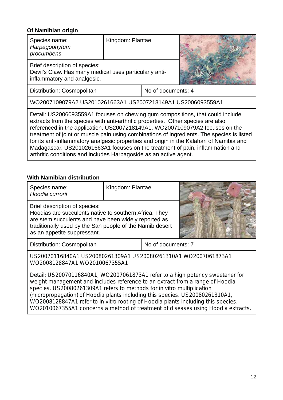| Species name:<br>Harpagophytum<br>procumbens                                                                                                                                                                                                                                                                                                                                                                                                                                                                                                                                                       | Kingdom: Plantae   |  |  |  |  |
|----------------------------------------------------------------------------------------------------------------------------------------------------------------------------------------------------------------------------------------------------------------------------------------------------------------------------------------------------------------------------------------------------------------------------------------------------------------------------------------------------------------------------------------------------------------------------------------------------|--------------------|--|--|--|--|
| Brief description of species:<br>Devil's Claw. Has many medical uses particularly anti-<br>inflammatory and analgesic.                                                                                                                                                                                                                                                                                                                                                                                                                                                                             |                    |  |  |  |  |
| Distribution: Cosmopolitan                                                                                                                                                                                                                                                                                                                                                                                                                                                                                                                                                                         | No of documents: 4 |  |  |  |  |
| WO2007109079A2 US2010261663A1 US2007218149A1 US2006093559A1                                                                                                                                                                                                                                                                                                                                                                                                                                                                                                                                        |                    |  |  |  |  |
| Detail: US2006093559A1 focuses on chewing gum compositions, that could include<br>extracts from the species with anti-arthritic properties. Other species are also<br>referenced in the application. US2007218149A1, WO2007109079A2 focuses on the<br>treatment of joint or muscle pain using combinations of ingredients. The species is listed<br>for its anti-inflammatory analgesic properties and origin in the Kalahari of Namibia and<br>Madagascar. US2010261663A1 focuses on the treatment of pain, inflammation and<br>arthritic conditions and includes Harpagoside as an active agent. |                    |  |  |  |  |

# **With Namibian distribution**

| Species name:<br>Hoodia currorii                                                                                                                                                                                                                                                                                                                                                                              | Kingdom: Plantae |                    |  |  |  |
|---------------------------------------------------------------------------------------------------------------------------------------------------------------------------------------------------------------------------------------------------------------------------------------------------------------------------------------------------------------------------------------------------------------|------------------|--------------------|--|--|--|
| Brief description of species:<br>Hoodias are succulents native to southern Africa. They<br>are stem succulents and have been widely reported as<br>traditionally used by the San people of the Namib desert<br>as an appetite suppressant.                                                                                                                                                                    |                  |                    |  |  |  |
| Distribution: Cosmopolitan                                                                                                                                                                                                                                                                                                                                                                                    |                  | No of documents: 7 |  |  |  |
| US20070116840A1 US20080261309A1 US20080261310A1 WO2007061873A1<br>WO2008128847A1 WO2010067355A1                                                                                                                                                                                                                                                                                                               |                  |                    |  |  |  |
| Detail: US20070116840A1, WO2007061873A1 refer to a high potency sweetener for<br>weight management and includes reference to an extract from a range of Hoodia<br>species. US20080261309A1 refers to methods for in vitro multiplication<br>(micropropagation) of Hoodia plants including this species. US20080261310A1,<br>WO2008128847A1 refer to in vitro rooting of Hoodia plants including this species. |                  |                    |  |  |  |

WO2010067355A1 concerns a method of treatment of diseases using Hoodia extracts.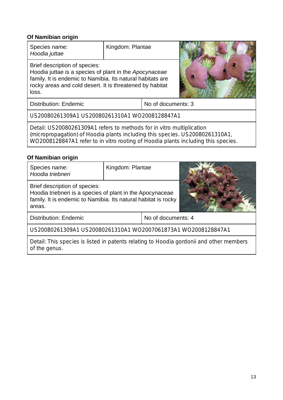| Species name:<br>Hoodia juttae                                                                                                                                                                                                             | Kingdom: Plantae   |  |  |  |
|--------------------------------------------------------------------------------------------------------------------------------------------------------------------------------------------------------------------------------------------|--------------------|--|--|--|
| Brief description of species:<br>Hoodia juttae is a species of plant in the Apocynaceae<br>family. It is endemic to Namibia. Its natural habitats are<br>rocky areas and cold desert. It is threatened by habitat<br>loss.                 |                    |  |  |  |
| Distribution: Endemic                                                                                                                                                                                                                      | No of documents: 3 |  |  |  |
| US20080261309A1 US20080261310A1 WO2008128847A1                                                                                                                                                                                             |                    |  |  |  |
| Detail: US20080261309A1 refers to methods for in vitro multiplication<br>(micropropagation) of Hoodia plants including this species. US20080261310A1,<br>WO2008128847A1 refer to in vitro rooting of Hoodia plants including this species. |                    |  |  |  |
| Of Namibian origin                                                                                                                                                                                                                         |                    |  |  |  |
| Snaciae nama:                                                                                                                                                                                                                              | Kingdom: Plantae   |  |  |  |

| Species name:<br>Hoodia triebneri                                                                                                                                      | Kingdom: Plantae |  |  |  |
|------------------------------------------------------------------------------------------------------------------------------------------------------------------------|------------------|--|--|--|
| Brief description of species:<br>Hoodia triebneri is a species of plant in the Apocynaceae<br>family. It is endemic to Namibia. Its natural habitat is rocky<br>areas. |                  |  |  |  |
| No of documents: 4<br><b>Distribution: Endemic</b>                                                                                                                     |                  |  |  |  |
| US20080261309A1 US20080261310A1 WO2007061873A1 WO2008128847A1                                                                                                          |                  |  |  |  |
| Detail. This ansoloo is listed in notente relating to Headis associational other members                                                                               |                  |  |  |  |

Detail: This species is listed in of the genus. patents relating to Hoodia gordonii and other members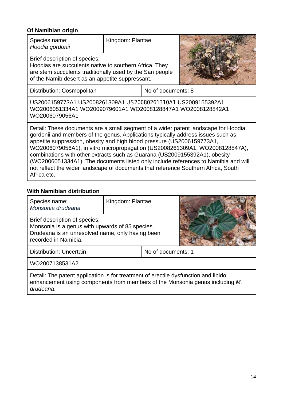| Species name:<br>Hoodia gordonii                                                                                                                                                                                                                                                                                                                                                                                                                                                                                                                                                                         | Kingdom: Plantae |  |  |  |
|----------------------------------------------------------------------------------------------------------------------------------------------------------------------------------------------------------------------------------------------------------------------------------------------------------------------------------------------------------------------------------------------------------------------------------------------------------------------------------------------------------------------------------------------------------------------------------------------------------|------------------|--|--|--|
| Brief description of species:<br>Hoodias are succulents native to southern Africa. They<br>are stem succulents traditionally used by the San people<br>of the Namib desert as an appetite suppressant.                                                                                                                                                                                                                                                                                                                                                                                                   |                  |  |  |  |
| No of documents: 8<br>Distribution: Cosmopolitan                                                                                                                                                                                                                                                                                                                                                                                                                                                                                                                                                         |                  |  |  |  |
| US2006159773A1 US2008261309A1 US20080261310A1 US2009155392A1<br>WO2006051334A1 WO2009079601A1 WO2008128847A1 WO2008128842A1<br>WO2006079056A1                                                                                                                                                                                                                                                                                                                                                                                                                                                            |                  |  |  |  |
| Detail: These documents are a small segment of a wider patent landscape for Hoodia<br>gordonii and members of the genus. Applications typically address issues such as<br>appetite suppression, obesity and high blood pressure (US2006159773A1,<br>WO2006079056A1), in vitro micropropagation (US2008261309A1, WO2008128847A),<br>combinations with other extracts such as Guarana (US2009155392A1), obesity<br>(WO2006051334A1). The documents listed only include references to Namibia and will<br>not reflect the wider landscape of documents that reference Southern Africa, South<br>Africa etc. |                  |  |  |  |

| Species name:<br>Monsonia drudeana                                                                                                                                              | Kingdom: Plantae                                                                                    |                    |  |  |
|---------------------------------------------------------------------------------------------------------------------------------------------------------------------------------|-----------------------------------------------------------------------------------------------------|--------------------|--|--|
| Brief description of species:<br>recorded in Namibia.                                                                                                                           | Monsonia is a genus with upwards of 85 species.<br>Drudeana is an unresolved name, only having been |                    |  |  |
| <b>Distribution: Uncertain</b>                                                                                                                                                  |                                                                                                     | No of documents: 1 |  |  |
| WO2007138531A2                                                                                                                                                                  |                                                                                                     |                    |  |  |
| Detail: The patent application is for treatment of erectile dysfunction and libido<br>enhancement using components from members of the Monsonia genus including M.<br>drudeana. |                                                                                                     |                    |  |  |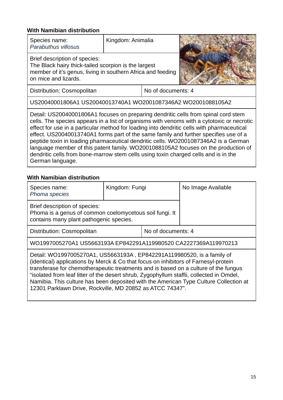| Species name:<br>Parabuthus villosus                                                                                                                                                                                                                                                                                                                                                                                                                                                                                                                                                                                                                           | Kingdom: Animalia |                    |  |  |
|----------------------------------------------------------------------------------------------------------------------------------------------------------------------------------------------------------------------------------------------------------------------------------------------------------------------------------------------------------------------------------------------------------------------------------------------------------------------------------------------------------------------------------------------------------------------------------------------------------------------------------------------------------------|-------------------|--------------------|--|--|
| Brief description of species:<br>The Black hairy thick-tailed scorpion is the largest<br>member of it's genus, living in southern Africa and feeding<br>on mice and lizards.                                                                                                                                                                                                                                                                                                                                                                                                                                                                                   |                   |                    |  |  |
| Distribution: Cosmopolitan                                                                                                                                                                                                                                                                                                                                                                                                                                                                                                                                                                                                                                     |                   | No of documents: 4 |  |  |
| US20040001806A1 US20040013740A1 WO2001087346A2 WO2001088105A2                                                                                                                                                                                                                                                                                                                                                                                                                                                                                                                                                                                                  |                   |                    |  |  |
| Detail: US20040001806A1 focuses on preparing dendritic cells from spinal cord stem<br>cells. The species appears in a list of organisms with venoms with a cytotoxic or necrotic<br>effect for use in a particular method for loading into dendritic cells with pharmaceutical<br>effect. US20040013740A1 forms part of the same family and further specifies use of a<br>peptide toxin in loading pharmaceutical dendritic cells. WO2001087346A2 is a German<br>language member of this patent family. WO2001088105A2 focuses on the production of<br>dendritic cells from bone-marrow stem cells using toxin charged cells and is in the<br>German language. |                   |                    |  |  |

| Species name:<br>Phoma species                                                                                                                                                                                                                                                                                                                                                                                                                                                                         | Kingdom: Fungi |  | No Image Available |  |
|--------------------------------------------------------------------------------------------------------------------------------------------------------------------------------------------------------------------------------------------------------------------------------------------------------------------------------------------------------------------------------------------------------------------------------------------------------------------------------------------------------|----------------|--|--------------------|--|
| Brief description of species:<br>Phoma is a genus of common coelomycetous soil fungi. It<br>contains many plant pathogenic species.                                                                                                                                                                                                                                                                                                                                                                    |                |  |                    |  |
| No of documents: 4<br>Distribution: Cosmopolitan                                                                                                                                                                                                                                                                                                                                                                                                                                                       |                |  |                    |  |
| WO1997005270A1 US5663193A EP842291A119980520 CA2227369A119970213                                                                                                                                                                                                                                                                                                                                                                                                                                       |                |  |                    |  |
| Detail: WO1997005270A1, US5663193A, EP842291A119980520, is a family of<br>(identical) applications by Merck & Co that focus on inhibitors of Farnesyl-protein<br>transferase for chemotherapeutic treatments and is based on a culture of the fungus<br>"isolated from leaf litter of the desert shrub, Zygophyllum staffii, collected in Omdel,<br>Namibia. This culture has been deposited with the American Type Culture Collection at<br>12301 Parklawn Drive, Rockville, MD 20852 as ATCC 74347". |                |  |                    |  |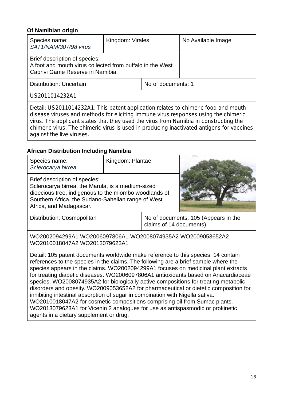| Species name:<br>SAT1/NAM/307/98 virus                                                                                        | Kingdom: Virales |  | No Available Image |  |
|-------------------------------------------------------------------------------------------------------------------------------|------------------|--|--------------------|--|
| Brief description of species:<br>A foot and mouth virus collected from buffalo in the West<br>Caprivi Game Reserve in Namibia |                  |  |                    |  |
| No of documents: 1<br>Distribution: Uncertain                                                                                 |                  |  |                    |  |
| US2011014232A1                                                                                                                |                  |  |                    |  |
| Detail: US2011014232A1. This patent application relates to chimeric food and mouth                                            |                  |  |                    |  |

disease viruses and methods for eliciting immune virus responses using the chimeric virus. The applicant states that they used the virus from Namibia in constructing the chimeric virus. The chimeric virus is used in producing inactivated antigens for vaccines against the live viruses.

## **African Distribution Including Namibia**

| Species name:<br>Sclerocarya birrea                                                                                                                                                                                          | Kingdom: Plantae |  |                                      |
|------------------------------------------------------------------------------------------------------------------------------------------------------------------------------------------------------------------------------|------------------|--|--------------------------------------|
| Brief description of species:<br>Sclerocarya birrea, the Marula, is a medium-sized<br>dioecious tree, indigenous to the miombo woodlands of<br>Southern Africa, the Sudano-Sahelian range of West<br>Africa, and Madagascar. |                  |  |                                      |
| Distribution: Cosmopolitan                                                                                                                                                                                                   |                  |  | No of documents: 105 (Appears in the |

claims of 14 do cuments) WO2002094299A1 WO20060 97806A1 WO2 008074935A2 WO2009053652A2

WO2010018047A2 WO20130 79623A1

Detail: 105 patent documents worldwide make reference to this species. 14 contain references to the species in the claims. The following are a brief sample where the species appears in the claims. WO2002094299A1 focuses on medicinal plant extracts for treating diabetic diseases. WO2006097806A1 antioxidants based on Anacardiaceae species. WO2008074935A2 for biologically active compositions for treating metabolic disorders and obesity. WO200 09053652A2 fo r pharmaceutic al or dietetic composition for inhibiting intestinal absorption of sugar in combination with Nigella sativa. WO2010018047A2 for cosmetic compositions comprising oil from Sumac plants. WO2013079623A1 for Vicenin 2 analogues for use as antispasmodic or prokinetic agents in a dietary supplement or drug.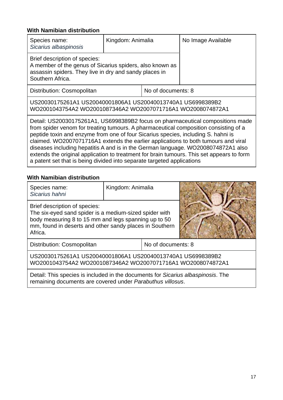| Species name:<br>Sicarius albaspinosis                                                                                                                                  | Kingdom: Animalia |  | No Image Available |
|-------------------------------------------------------------------------------------------------------------------------------------------------------------------------|-------------------|--|--------------------|
| Brief description of species:<br>A member of the genus of Sicarius spiders, also known as<br>assassin spiders. They live in dry and sandy places in<br>Southern Africa. |                   |  |                    |
| No of documents: 8<br>Distribution: Cosmopolitan                                                                                                                        |                   |  |                    |
| US20030175261A1 US20040001806A1 US20040013740A1 US6998389B2<br>WO2001043754A2 WO2001087346A2 WO2007071716A1 WO2008074872A1                                              |                   |  |                    |

Detail: US20030175261A1, US6998389B2 focus on pharmaceutical compositions made from spider venom for treating tumours. A pharmaceutical composition consisting of a peptide toxin and enzyme fro m one of four S Sicarius species , including S. hahni is claimed. WO2007071716A1 extends the earlier applications to both tumours and viral diseases including hepatitis A and is in the German language. WO2008074872A1 also extends the original application to treatment for brain tumours. This set appears to form a patent set that is being divided into separate targeted applications

#### **With Namibian distribution**

| Species name:<br>Sicarius hahni                                                                                                                                                                                       | Kingdom: Animalia |                    |  |  |  |
|-----------------------------------------------------------------------------------------------------------------------------------------------------------------------------------------------------------------------|-------------------|--------------------|--|--|--|
| Brief description of species:<br>The six-eyed sand spider is a medium-sized spider with<br>body measuring 8 to 15 mm and legs spanning up to 50<br>mm, found in deserts and other sandy places in Southern<br>Africa. |                   |                    |  |  |  |
| Distribution: Cosmopolitan                                                                                                                                                                                            |                   | No of documents: 8 |  |  |  |
| US20030175261A1 US20040001806A1 US20040013740A1 US6998389B2<br>WO2001043754A2 WO2001087346A2 WO2007071716A1 WO2008074872A1                                                                                            |                   |                    |  |  |  |
| Detail: This species is included in the documents for Sicarius albaspinosis. The                                                                                                                                      |                   |                    |  |  |  |

remaining documents are covered under Parabuthus villosus.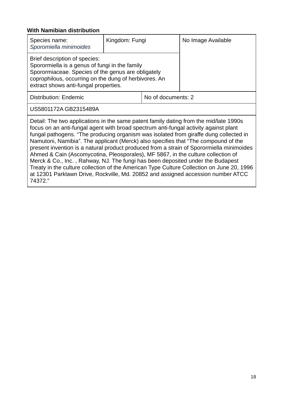| Species name:<br>Sporomiella minimoides                                                                                                                                                                                                                                                                                                                                                                                                                                                                                                                                                                                                                                                                                                                                                                                    | Kingdom: Fungi |  | No Image Available |  |
|----------------------------------------------------------------------------------------------------------------------------------------------------------------------------------------------------------------------------------------------------------------------------------------------------------------------------------------------------------------------------------------------------------------------------------------------------------------------------------------------------------------------------------------------------------------------------------------------------------------------------------------------------------------------------------------------------------------------------------------------------------------------------------------------------------------------------|----------------|--|--------------------|--|
| Brief description of species:<br>Sporormiella is a genus of fungi in the family<br>Sporormiaceae. Species of the genus are obligately<br>coprophilous, occurring on the dung of herbivores. An<br>extract shows anti-fungal properties.                                                                                                                                                                                                                                                                                                                                                                                                                                                                                                                                                                                    |                |  |                    |  |
| <b>Distribution: Endemic</b><br>No of documents: 2                                                                                                                                                                                                                                                                                                                                                                                                                                                                                                                                                                                                                                                                                                                                                                         |                |  |                    |  |
| US5801172A GB2315489A                                                                                                                                                                                                                                                                                                                                                                                                                                                                                                                                                                                                                                                                                                                                                                                                      |                |  |                    |  |
| Detail: The two applications in the same patent family dating from the mid/late 1990s<br>focus on an anti-fungal agent with broad spectrum anti-fungal activity against plant<br>fungal pathogens. "The producing organism was isolated from giraffe dung collected in<br>Namutoni, Namibia". The applicant (Merck) also specifies that "The compound of the<br>present invention is a natural product produced from a strain of Sporormiella minimoides<br>Ahmed & Cain (Ascomycotina, Pleosporales), MF 5867, in the culture collection of<br>Merck & Co., Inc., Rahway, NJ. The fungi has been deposited under the Budapest<br>Treaty in the culture collection of the American Type Culture Collection on June 20, 1996<br>at 12301 Parklawn Drive, Rockville, Md. 20852 and assigned accession number ATCC<br>74372." |                |  |                    |  |